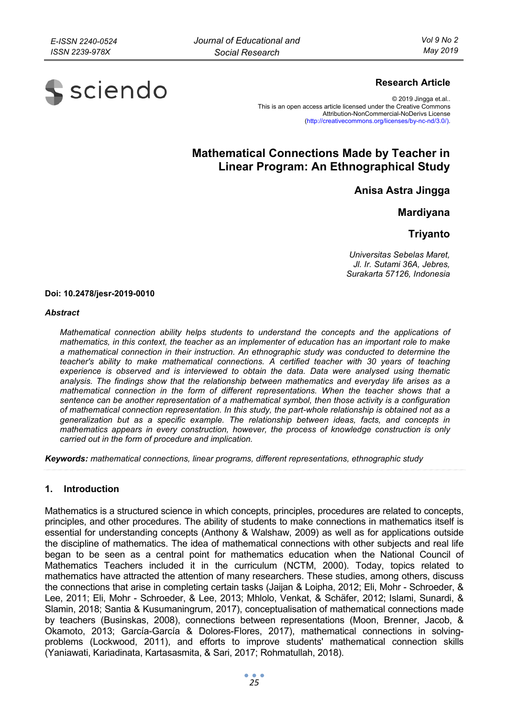

# **Research Article**

© 2019 Jingga et.al.. This is an open access article licensed under the Creative Commons Attribution-NonCommercial-NoDerivs License (http://creativecommons.org/licenses/by-nc-nd/3.0/).

# **Mathematical Connections Made by Teacher in Linear Program: An Ethnographical Study**

**Anisa Astra Jingga** 

**Mardiyana** 

**Triyanto** 

*Universitas Sebelas Maret, Jl. Ir. Sutami 36A, Jebres, Surakarta 57126, Indonesia* 

#### **Doi: 10.2478/jesr-2019-0010**

#### *Abstract*

*Mathematical connection ability helps students to understand the concepts and the applications of mathematics, in this context, the teacher as an implementer of education has an important role to make a mathematical connection in their instruction. An ethnographic study was conducted to determine the teacher's ability to make mathematical connections. A certified teacher with 30 years of teaching experience is observed and is interviewed to obtain the data. Data were analysed using thematic analysis. The findings show that the relationship between mathematics and everyday life arises as a mathematical connection in the form of different representations. When the teacher shows that a sentence can be another representation of a mathematical symbol, then those activity is a configuration of mathematical connection representation. In this study, the part-whole relationship is obtained not as a generalization but as a specific example. The relationship between ideas, facts, and concepts in mathematics appears in every construction, however, the process of knowledge construction is only carried out in the form of procedure and implication.* 

*Keywords: mathematical connections, linear programs, different representations, ethnographic study* 

### **1. Introduction**

Mathematics is a structured science in which concepts, principles, procedures are related to concepts, principles, and other procedures. The ability of students to make connections in mathematics itself is essential for understanding concepts (Anthony & Walshaw, 2009) as well as for applications outside the discipline of mathematics. The idea of mathematical connections with other subjects and real life began to be seen as a central point for mathematics education when the National Council of Mathematics Teachers included it in the curriculum (NCTM, 2000). Today, topics related to mathematics have attracted the attention of many researchers. These studies, among others, discuss the connections that arise in completing certain tasks (Jaijan & Loipha, 2012; Eli, Mohr - Schroeder, & Lee, 2011; Eli, Mohr - Schroeder, & Lee, 2013; Mhlolo, Venkat, & Schäfer, 2012; Islami, Sunardi, & Slamin, 2018; Santia & Kusumaningrum, 2017), conceptualisation of mathematical connections made by teachers (Businskas, 2008), connections between representations (Moon, Brenner, Jacob, & Okamoto, 2013; García-García & Dolores-Flores, 2017), mathematical connections in solvingproblems (Lockwood, 2011), and efforts to improve students' mathematical connection skills (Yaniawati, Kariadinata, Kartasasmita, & Sari, 2017; Rohmatullah, 2018).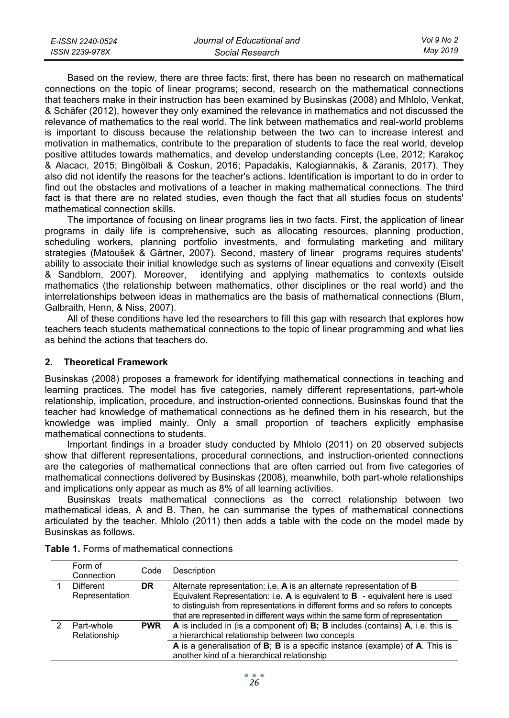| E-ISSN 2240-0524 | Journal of Educational and | Vol 9 No 2 |
|------------------|----------------------------|------------|
| ISSN 2239-978X   | Social Research            | May 2019   |

Based on the review, there are three facts: first, there has been no research on mathematical connections on the topic of linear programs; second, research on the mathematical connections that teachers make in their instruction has been examined by Businskas (2008) and Mhlolo, Venkat, & Schäfer (2012), however they only examined the relevance in mathematics and not discussed the relevance of mathematics to the real world. The link between mathematics and real-world problems is important to discuss because the relationship between the two can to increase interest and motivation in mathematics, contribute to the preparation of students to face the real world, develop positive attitudes towards mathematics, and develop understanding concepts (Lee, 2012; Karakoç & Alacacı, 2015; Bingölbali & Coskun, 2016; Papadakis, Kalogiannakis, & Zaranis, 2017). They also did not identify the reasons for the teacher's actions. Identification is important to do in order to find out the obstacles and motivations of a teacher in making mathematical connections. The third fact is that there are no related studies, even though the fact that all studies focus on students' mathematical connection skills.

The importance of focusing on linear programs lies in two facts. First, the application of linear programs in daily life is comprehensive, such as allocating resources, planning production, scheduling workers, planning portfolio investments, and formulating marketing and military strategies (Matoušek & Gärtner, 2007). Second, mastery of linear programs requires students' ability to associate their initial knowledge such as systems of linear equations and convexity (Eiselt & Sandblom, 2007). Moreover, identifying and applying mathematics to contexts outside mathematics (the relationship between mathematics, other disciplines or the real world) and the interrelationships between ideas in mathematics are the basis of mathematical connections (Blum, Galbraith, Henn, & Niss, 2007).

All of these conditions have led the researchers to fill this gap with research that explores how teachers teach students mathematical connections to the topic of linear programming and what lies as behind the actions that teachers do.

# **2. Theoretical Framework**

Businskas (2008) proposes a framework for identifying mathematical connections in teaching and learning practices. The model has five categories, namely different representations, part-whole relationship, implication, procedure, and instruction-oriented connections. Businskas found that the teacher had knowledge of mathematical connections as he defined them in his research, but the knowledge was implied mainly. Only a small proportion of teachers explicitly emphasise mathematical connections to students.

Important findings in a broader study conducted by Mhlolo (2011) on 20 observed subjects show that different representations, procedural connections, and instruction-oriented connections are the categories of mathematical connections that are often carried out from five categories of mathematical connections delivered by Businskas (2008), meanwhile, both part-whole relationships and implications only appear as much as 8% of all learning activities.

Businskas treats mathematical connections as the correct relationship between two mathematical ideas, A and B. Then, he can summarise the types of mathematical connections articulated by the teacher. Mhlolo (2011) then adds a table with the code on the model made by Businskas as follows.

| Form of<br>Connection      | Code       | Description                                                                                                                                                                                                                                             |
|----------------------------|------------|---------------------------------------------------------------------------------------------------------------------------------------------------------------------------------------------------------------------------------------------------------|
| <b>Different</b>           | DR.        | Alternate representation: i.e. A is an alternate representation of <b>B</b>                                                                                                                                                                             |
| Representation             |            | Equivalent Representation: i.e. $A$ is equivalent to $B$ - equivalent here is used<br>to distinguish from representations in different forms and so refers to concepts<br>that are represented in different ways within the same form of representation |
| Part-whole<br>Relationship | <b>PWR</b> | A is included in (is a component of) <b>B</b> ; <b>B</b> includes (contains) <b>A</b> , i.e. this is<br>a hierarchical relationship between two concepts<br>A is a generalisation of B; B is a specific instance (example) of A. This is                |
|                            |            | another kind of a hierarchical relationship                                                                                                                                                                                                             |

**Table 1.** Forms of mathematical connections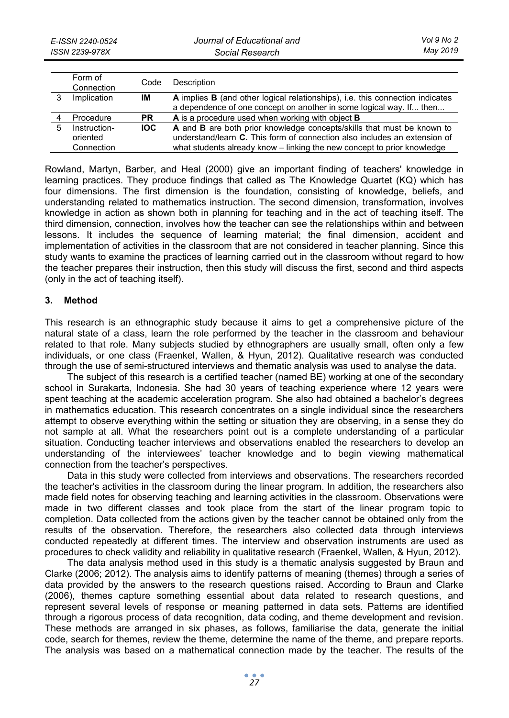|    | Form of<br>Connection                  | Code      | Description                                                                                                                                                                                                                    |
|----|----------------------------------------|-----------|--------------------------------------------------------------------------------------------------------------------------------------------------------------------------------------------------------------------------------|
|    | Implication                            | IM        | A implies <b>B</b> (and other logical relationships), i.e. this connection indicates<br>a dependence of one concept on another in some logical way. If then                                                                    |
|    | Procedure                              | <b>PR</b> | A is a procedure used when working with object <b>B</b>                                                                                                                                                                        |
| 5. | Instruction-<br>oriented<br>Connection | IOC.      | A and B are both prior knowledge concepts/skills that must be known to<br>understand/learn C. This form of connection also includes an extension of<br>what students already know – linking the new concept to prior knowledge |

Rowland, Martyn, Barber, and Heal (2000) give an important finding of teachers' knowledge in learning practices. They produce findings that called as The Knowledge Quartet (KQ) which has four dimensions. The first dimension is the foundation, consisting of knowledge, beliefs, and understanding related to mathematics instruction. The second dimension, transformation, involves knowledge in action as shown both in planning for teaching and in the act of teaching itself. The third dimension, connection, involves how the teacher can see the relationships within and between lessons. It includes the sequence of learning material; the final dimension, accident and implementation of activities in the classroom that are not considered in teacher planning. Since this study wants to examine the practices of learning carried out in the classroom without regard to how the teacher prepares their instruction, then this study will discuss the first, second and third aspects (only in the act of teaching itself).

## **3. Method**

This research is an ethnographic study because it aims to get a comprehensive picture of the natural state of a class, learn the role performed by the teacher in the classroom and behaviour related to that role. Many subjects studied by ethnographers are usually small, often only a few individuals, or one class (Fraenkel, Wallen, & Hyun, 2012). Qualitative research was conducted through the use of semi-structured interviews and thematic analysis was used to analyse the data.

The subject of this research is a certified teacher (named BE) working at one of the secondary school in Surakarta, Indonesia. She had 30 years of teaching experience where 12 years were spent teaching at the academic acceleration program. She also had obtained a bachelor's degrees in mathematics education. This research concentrates on a single individual since the researchers attempt to observe everything within the setting or situation they are observing, in a sense they do not sample at all. What the researchers point out is a complete understanding of a particular situation. Conducting teacher interviews and observations enabled the researchers to develop an understanding of the interviewees' teacher knowledge and to begin viewing mathematical connection from the teacher's perspectives.

Data in this study were collected from interviews and observations. The researchers recorded the teacher's activities in the classroom during the linear program. In addition, the researchers also made field notes for observing teaching and learning activities in the classroom. Observations were made in two different classes and took place from the start of the linear program topic to completion. Data collected from the actions given by the teacher cannot be obtained only from the results of the observation. Therefore, the researchers also collected data through interviews conducted repeatedly at different times. The interview and observation instruments are used as procedures to check validity and reliability in qualitative research (Fraenkel, Wallen, & Hyun, 2012).

The data analysis method used in this study is a thematic analysis suggested by Braun and Clarke (2006; 2012). The analysis aims to identify patterns of meaning (themes) through a series of data provided by the answers to the research questions raised. According to Braun and Clarke (2006), themes capture something essential about data related to research questions, and represent several levels of response or meaning patterned in data sets. Patterns are identified through a rigorous process of data recognition, data coding, and theme development and revision. These methods are arranged in six phases, as follows, familiarise the data, generate the initial code, search for themes, review the theme, determine the name of the theme, and prepare reports. The analysis was based on a mathematical connection made by the teacher. The results of the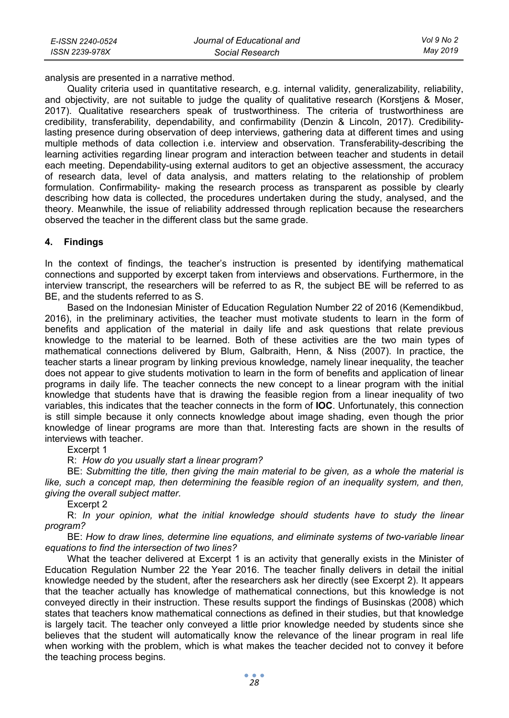analysis are presented in a narrative method.

Quality criteria used in quantitative research, e.g. internal validity, generalizability, reliability, and objectivity, are not suitable to judge the quality of qualitative research (Korstjens & Moser, 2017). Qualitative researchers speak of trustworthiness. The criteria of trustworthiness are credibility, transferability, dependability, and confirmability (Denzin & Lincoln, 2017). Credibilitylasting presence during observation of deep interviews, gathering data at different times and using multiple methods of data collection i.e. interview and observation. Transferability-describing the learning activities regarding linear program and interaction between teacher and students in detail each meeting. Dependability-using external auditors to get an objective assessment, the accuracy of research data, level of data analysis, and matters relating to the relationship of problem formulation. Confirmability- making the research process as transparent as possible by clearly describing how data is collected, the procedures undertaken during the study, analysed, and the theory. Meanwhile, the issue of reliability addressed through replication because the researchers observed the teacher in the different class but the same grade.

### **4. Findings**

In the context of findings, the teacher's instruction is presented by identifying mathematical connections and supported by excerpt taken from interviews and observations. Furthermore, in the interview transcript, the researchers will be referred to as R, the subject BE will be referred to as BE, and the students referred to as S.

Based on the Indonesian Minister of Education Regulation Number 22 of 2016 (Kemendikbud, 2016), in the preliminary activities, the teacher must motivate students to learn in the form of benefits and application of the material in daily life and ask questions that relate previous knowledge to the material to be learned. Both of these activities are the two main types of mathematical connections delivered by Blum, Galbraith, Henn, & Niss (2007). In practice, the teacher starts a linear program by linking previous knowledge, namely linear inequality, the teacher does not appear to give students motivation to learn in the form of benefits and application of linear programs in daily life. The teacher connects the new concept to a linear program with the initial knowledge that students have that is drawing the feasible region from a linear inequality of two variables, this indicates that the teacher connects in the form of **IOC**. Unfortunately, this connection is still simple because it only connects knowledge about image shading, even though the prior knowledge of linear programs are more than that. Interesting facts are shown in the results of interviews with teacher.

Excerpt 1

R: *How do you usually start a linear program?* 

BE: *Submitting the title, then giving the main material to be given, as a whole the material is like, such a concept map, then determining the feasible region of an inequality system, and then, giving the overall subject matter.* 

Excerpt 2

R: *In your opinion, what the initial knowledge should students have to study the linear program?* 

BE: *How to draw lines, determine line equations, and eliminate systems of two-variable linear equations to find the intersection of two lines?* 

What the teacher delivered at Excerpt 1 is an activity that generally exists in the Minister of Education Regulation Number 22 the Year 2016. The teacher finally delivers in detail the initial knowledge needed by the student, after the researchers ask her directly (see Excerpt 2). It appears that the teacher actually has knowledge of mathematical connections, but this knowledge is not conveyed directly in their instruction. These results support the findings of Businskas (2008) which states that teachers know mathematical connections as defined in their studies, but that knowledge is largely tacit. The teacher only conveyed a little prior knowledge needed by students since she believes that the student will automatically know the relevance of the linear program in real life when working with the problem, which is what makes the teacher decided not to convey it before the teaching process begins.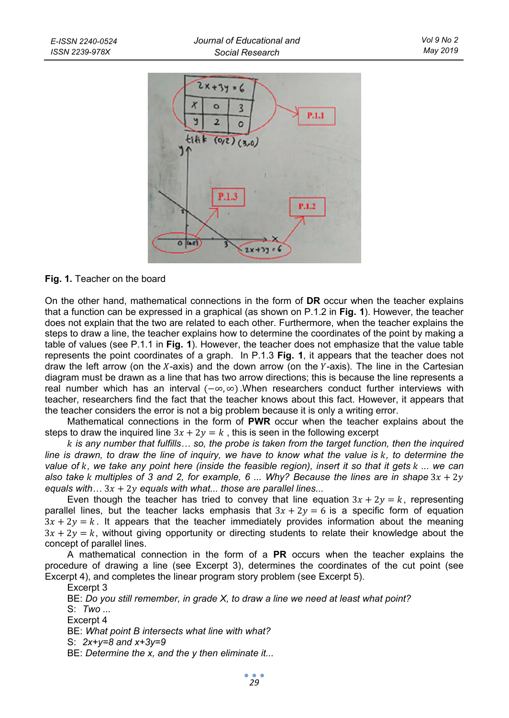

**Fig. 1.** Teacher on the board

On the other hand, mathematical connections in the form of **DR** occur when the teacher explains that a function can be expressed in a graphical (as shown on P.1.2 in **Fig. 1**). However, the teacher does not explain that the two are related to each other. Furthermore, when the teacher explains the steps to draw a line, the teacher explains how to determine the coordinates of the point by making a table of values (see P.1.1 in **Fig. 1**). However, the teacher does not emphasize that the value table represents the point coordinates of a graph. In P.1.3 **Fig. 1**, it appears that the teacher does not draw the left arrow (on the  $X$ -axis) and the down arrow (on the  $Y$ -axis). The line in the Cartesian diagram must be drawn as a line that has two arrow directions; this is because the line represents a real number which has an interval  $(-\infty, \infty)$ . When researchers conduct further interviews with teacher, researchers find the fact that the teacher knows about this fact. However, it appears that the teacher considers the error is not a big problem because it is only a writing error.

Mathematical connections in the form of **PWR** occur when the teacher explains about the steps to draw the inquired line  $3x + 2y = k$ , this is seen in the following excerpt

 *is any number that fulfills… so, the probe is taken from the target function, then the inquired line is drawn, to draw the line of inquiry, we have to know what the value is k, to determine the value of , we take any point here (inside the feasible region), insert it so that it gets ... we can*  also take *k* multiples of 3 and 2, for example, 6 ... Why? Because the lines are in shape  $3x + 2y$ *equals with*  $\ldots$   $3x + 2y$  *equals with what*  $\ldots$  *those are parallel lines*...

Even though the teacher has tried to convey that line equation  $3x + 2y = k$ , representing parallel lines, but the teacher lacks emphasis that  $3x + 2y = 6$  is a specific form of equation  $3x + 2y = k$ . It appears that the teacher immediately provides information about the meaning  $3x + 2y = k$ , without giving opportunity or directing students to relate their knowledge about the concept of parallel lines.

A mathematical connection in the form of a **PR** occurs when the teacher explains the procedure of drawing a line (see Excerpt 3), determines the coordinates of the cut point (see Excerpt 4), and completes the linear program story problem (see Excerpt 5).

Excerpt 3

BE: *Do you still remember, in grade X, to draw a line we need at least what point?* 

S: *Two ...* 

Excerpt 4

BE: *What point B intersects what line with what?* 

S: *2x+y=8 and x+3y=9* 

BE: *Determine the x, and the y then eliminate it...*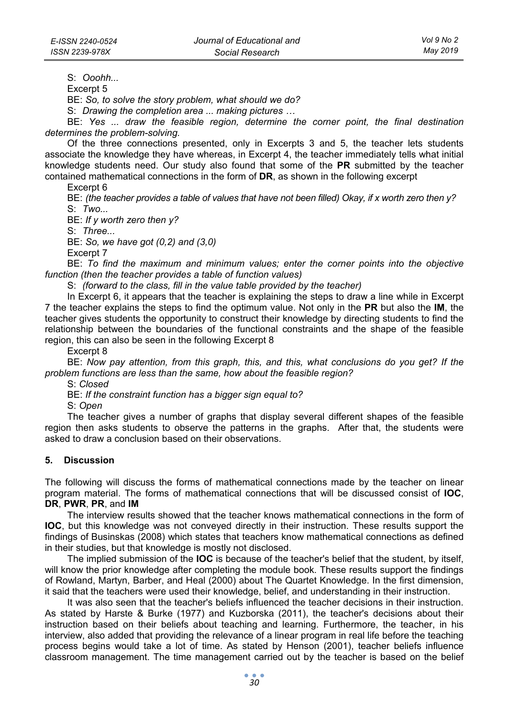S: *Ooohh...* 

Excerpt 5

BE: *So, to solve the story problem, what should we do?* 

S: *Drawing the completion area ... making pictures …* 

BE: *Yes ... draw the feasible region, determine the corner point, the final destination determines the problem-solving.* 

Of the three connections presented, only in Excerpts 3 and 5, the teacher lets students associate the knowledge they have whereas, in Excerpt 4, the teacher immediately tells what initial knowledge students need. Our study also found that some of the **PR** submitted by the teacher contained mathematical connections in the form of **DR**, as shown in the following excerpt

Excerpt 6

BE: *(the teacher provides a table of values that have not been filled) Okay, if x worth zero then y?*  S: *Two...* 

BE: *If y worth zero then y?* 

S: *Three...* 

BE: *So, we have got (0,2) and (3,0)* 

Excerpt 7

BE: *To find the maximum and minimum values; enter the corner points into the objective function (then the teacher provides a table of function values)* 

S: *(forward to the class, fill in the value table provided by the teacher)* 

In Excerpt 6, it appears that the teacher is explaining the steps to draw a line while in Excerpt 7 the teacher explains the steps to find the optimum value. Not only in the **PR** but also the **IM**, the teacher gives students the opportunity to construct their knowledge by directing students to find the relationship between the boundaries of the functional constraints and the shape of the feasible region, this can also be seen in the following Excerpt 8

Excerpt 8

BE: *Now pay attention, from this graph, this, and this, what conclusions do you get? If the problem functions are less than the same, how about the feasible region?* 

S: *Closed* 

BE: *If the constraint function has a bigger sign equal to?* 

S: *Open* 

The teacher gives a number of graphs that display several different shapes of the feasible region then asks students to observe the patterns in the graphs. After that, the students were asked to draw a conclusion based on their observations.

### **5. Discussion**

The following will discuss the forms of mathematical connections made by the teacher on linear program material. The forms of mathematical connections that will be discussed consist of **IOC**, **DR**, **PWR**, **PR**, and **IM**

The interview results showed that the teacher knows mathematical connections in the form of **IOC**, but this knowledge was not conveyed directly in their instruction. These results support the findings of Businskas (2008) which states that teachers know mathematical connections as defined in their studies, but that knowledge is mostly not disclosed.

The implied submission of the **IOC** is because of the teacher's belief that the student, by itself, will know the prior knowledge after completing the module book. These results support the findings of Rowland, Martyn, Barber, and Heal (2000) about The Quartet Knowledge. In the first dimension, it said that the teachers were used their knowledge, belief, and understanding in their instruction.

It was also seen that the teacher's beliefs influenced the teacher decisions in their instruction. As stated by Harste & Burke (1977) and Kuzborska (2011), the teacher's decisions about their instruction based on their beliefs about teaching and learning. Furthermore, the teacher, in his interview, also added that providing the relevance of a linear program in real life before the teaching process begins would take a lot of time. As stated by Henson (2001), teacher beliefs influence classroom management. The time management carried out by the teacher is based on the belief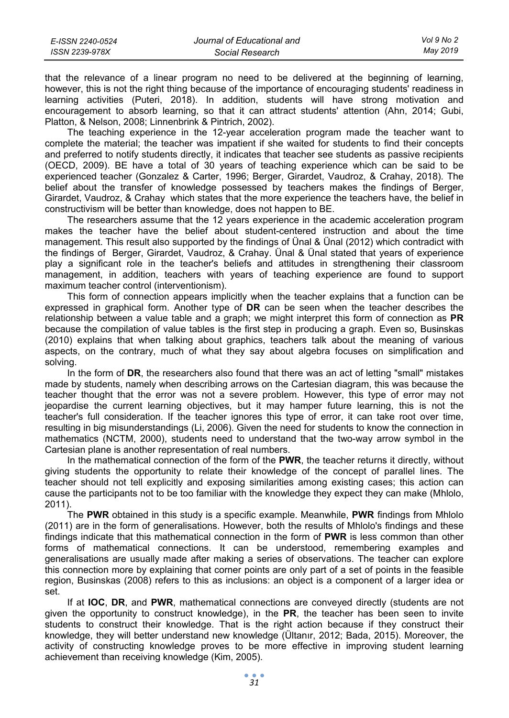| E-ISSN 2240-0524 | Journal of Educational and | Vol 9 No 2 |
|------------------|----------------------------|------------|
| ISSN 2239-978X   | Social Research            | Mav 2019   |

that the relevance of a linear program no need to be delivered at the beginning of learning, however, this is not the right thing because of the importance of encouraging students' readiness in learning activities (Puteri, 2018). In addition, students will have strong motivation and encouragement to absorb learning, so that it can attract students' attention (Ahn, 2014; Gubi, Platton, & Nelson, 2008; Linnenbrink & Pintrich, 2002).

The teaching experience in the 12-year acceleration program made the teacher want to complete the material; the teacher was impatient if she waited for students to find their concepts and preferred to notify students directly, it indicates that teacher see students as passive recipients (OECD, 2009). BE have a total of 30 years of teaching experience which can be said to be experienced teacher (Gonzalez & Carter, 1996; Berger, Girardet, Vaudroz, & Crahay, 2018). The belief about the transfer of knowledge possessed by teachers makes the findings of Berger, Girardet, Vaudroz, & Crahay which states that the more experience the teachers have, the belief in constructivism will be better than knowledge, does not happen to BE.

The researchers assume that the 12 years experience in the academic acceleration program makes the teacher have the belief about student-centered instruction and about the time management. This result also supported by the findings of Ünal & Ünal (2012) which contradict with the findings of Berger, Girardet, Vaudroz, & Crahay. Ünal & Ünal stated that years of experience play a significant role in the teacher's beliefs and attitudes in strengthening their classroom management, in addition, teachers with years of teaching experience are found to support maximum teacher control (interventionism).

This form of connection appears implicitly when the teacher explains that a function can be expressed in graphical form. Another type of **DR** can be seen when the teacher describes the relationship between a value table and a graph; we might interpret this form of connection as **PR** because the compilation of value tables is the first step in producing a graph. Even so, Businskas (2010) explains that when talking about graphics, teachers talk about the meaning of various aspects, on the contrary, much of what they say about algebra focuses on simplification and solving.

In the form of **DR**, the researchers also found that there was an act of letting "small" mistakes made by students, namely when describing arrows on the Cartesian diagram, this was because the teacher thought that the error was not a severe problem. However, this type of error may not jeopardise the current learning objectives, but it may hamper future learning, this is not the teacher's full consideration. If the teacher ignores this type of error, it can take root over time, resulting in big misunderstandings (Li, 2006). Given the need for students to know the connection in mathematics (NCTM, 2000), students need to understand that the two-way arrow symbol in the Cartesian plane is another representation of real numbers.

In the mathematical connection of the form of the **PWR**, the teacher returns it directly, without giving students the opportunity to relate their knowledge of the concept of parallel lines. The teacher should not tell explicitly and exposing similarities among existing cases; this action can cause the participants not to be too familiar with the knowledge they expect they can make (Mhlolo, 2011).

The **PWR** obtained in this study is a specific example. Meanwhile, **PWR** findings from Mhlolo (2011) are in the form of generalisations. However, both the results of Mhlolo's findings and these findings indicate that this mathematical connection in the form of **PWR** is less common than other forms of mathematical connections. It can be understood, remembering examples and generalisations are usually made after making a series of observations. The teacher can explore this connection more by explaining that corner points are only part of a set of points in the feasible region, Businskas (2008) refers to this as inclusions: an object is a component of a larger idea or set.

If at **IOC**, **DR**, and **PWR**, mathematical connections are conveyed directly (students are not given the opportunity to construct knowledge), in the **PR**, the teacher has been seen to invite students to construct their knowledge. That is the right action because if they construct their knowledge, they will better understand new knowledge (Ültanır, 2012; Bada, 2015). Moreover, the activity of constructing knowledge proves to be more effective in improving student learning achievement than receiving knowledge (Kim, 2005).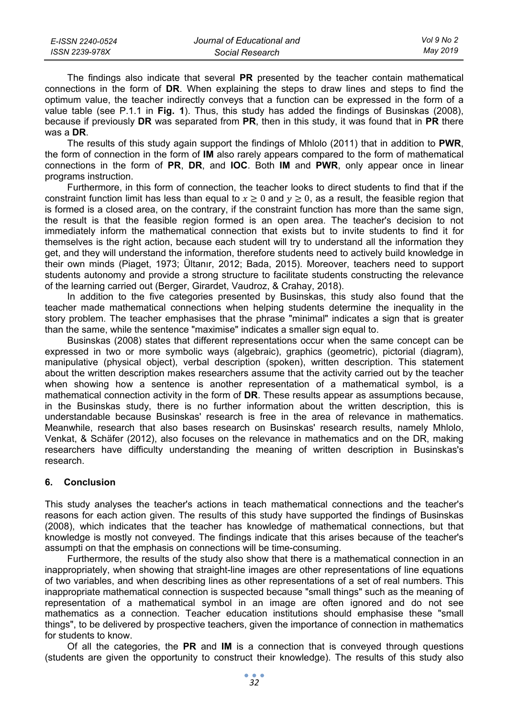| E-ISSN 2240-0524 | Journal of Educational and | Vol 9 No 2 |
|------------------|----------------------------|------------|
| ISSN 2239-978X   | Social Research            | May 2019   |

The findings also indicate that several **PR** presented by the teacher contain mathematical connections in the form of **DR**. When explaining the steps to draw lines and steps to find the optimum value, the teacher indirectly conveys that a function can be expressed in the form of a value table (see P.1.1 in **Fig. 1**). Thus, this study has added the findings of Businskas (2008), because if previously **DR** was separated from **PR**, then in this study, it was found that in **PR** there was a **DR**.

The results of this study again support the findings of Mhlolo (2011) that in addition to **PWR**, the form of connection in the form of **IM** also rarely appears compared to the form of mathematical connections in the form of **PR**, **DR**, and **IOC**. Both **IM** and **PWR**, only appear once in linear programs instruction.

Furthermore, in this form of connection, the teacher looks to direct students to find that if the constraint function limit has less than equal to  $x \ge 0$  and  $y \ge 0$ , as a result, the feasible region that is formed is a closed area, on the contrary, if the constraint function has more than the same sign, the result is that the feasible region formed is an open area. The teacher's decision to not immediately inform the mathematical connection that exists but to invite students to find it for themselves is the right action, because each student will try to understand all the information they get, and they will understand the information, therefore students need to actively build knowledge in their own minds (Piaget, 1973; Ültanır, 2012; Bada, 2015). Moreover, teachers need to support students autonomy and provide a strong structure to facilitate students constructing the relevance of the learning carried out (Berger, Girardet, Vaudroz, & Crahay, 2018).

In addition to the five categories presented by Businskas, this study also found that the teacher made mathematical connections when helping students determine the inequality in the story problem. The teacher emphasises that the phrase "minimal" indicates a sign that is greater than the same, while the sentence "maximise" indicates a smaller sign equal to.

Businskas (2008) states that different representations occur when the same concept can be expressed in two or more symbolic ways (algebraic), graphics (geometric), pictorial (diagram), manipulative (physical object), verbal description (spoken), written description. This statement about the written description makes researchers assume that the activity carried out by the teacher when showing how a sentence is another representation of a mathematical symbol, is a mathematical connection activity in the form of **DR**. These results appear as assumptions because, in the Businskas study, there is no further information about the written description, this is understandable because Businskas' research is free in the area of relevance in mathematics. Meanwhile, research that also bases research on Businskas' research results, namely Mhlolo, Venkat, & Schäfer (2012), also focuses on the relevance in mathematics and on the DR, making researchers have difficulty understanding the meaning of written description in Businskas's research.

## **6. Conclusion**

This study analyses the teacher's actions in teach mathematical connections and the teacher's reasons for each action given. The results of this study have supported the findings of Businskas (2008), which indicates that the teacher has knowledge of mathematical connections, but that knowledge is mostly not conveyed. The findings indicate that this arises because of the teacher's assumpti on that the emphasis on connections will be time-consuming.

Furthermore, the results of the study also show that there is a mathematical connection in an inappropriately, when showing that straight-line images are other representations of line equations of two variables, and when describing lines as other representations of a set of real numbers. This inappropriate mathematical connection is suspected because "small things" such as the meaning of representation of a mathematical symbol in an image are often ignored and do not see mathematics as a connection. Teacher education institutions should emphasise these "small things", to be delivered by prospective teachers, given the importance of connection in mathematics for students to know.

Of all the categories, the **PR** and **IM** is a connection that is conveyed through questions (students are given the opportunity to construct their knowledge). The results of this study also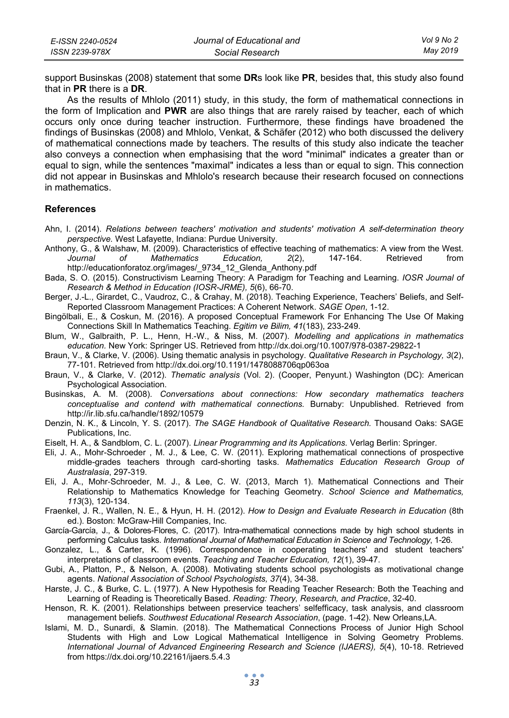| E-ISSN 2240-0524 | Journal of Educational and | Vol 9 No 2 |
|------------------|----------------------------|------------|
| ISSN 2239-978X   | Social Research            | Mav 2019   |

support Businskas (2008) statement that some **DR**s look like **PR**, besides that, this study also found that in **PR** there is a **DR**.

As the results of Mhlolo (2011) study, in this study, the form of mathematical connections in the form of Implication and **PWR** are also things that are rarely raised by teacher, each of which occurs only once during teacher instruction. Furthermore, these findings have broadened the findings of Businskas (2008) and Mhlolo, Venkat, & Schäfer (2012) who both discussed the delivery of mathematical connections made by teachers. The results of this study also indicate the teacher also conveys a connection when emphasising that the word "minimal" indicates a greater than or equal to sign, while the sentences "maximal" indicates a less than or equal to sign. This connection did not appear in Businskas and Mhlolo's research because their research focused on connections in mathematics.

#### **References**

- Ahn, I. (2014). *Relations between teachers' motivation and students' motivation A self-determination theory perspective.* West Lafayette, Indiana: Purdue University.
- Anthony, G., & Walshaw, M. (2009). Characteristics of effective teaching of mathematics: A view from the West. *Journal of Mathematics Education, 2*(2), 147-164. Retrieved from http://educationforatoz.org/images/\_9734\_12\_Glenda\_Anthony.pdf
- Bada, S. O. (2015). Constructivism Learning Theory: A Paradigm for Teaching and Learning. *IOSR Journal of Research & Method in Education (IOSR-JRME), 5*(6), 66-70.
- Berger, J.-L., Girardet, C., Vaudroz, C., & Crahay, M. (2018). Teaching Experience, Teachers' Beliefs, and Self-Reported Classroom Management Practices: A Coherent Network. *SAGE Open*, 1-12.
- Bingölbali, E., & Coskun, M. (2016). A proposed Conceptual Framework For Enhancing The Use Of Making Connections Skill In Mathematics Teaching. *Egitim ve Bilim, 41*(183), 233-249.
- Blum, W., Galbraith, P. L., Henn, H.-W., & Niss, M. (2007). *Modelling and applications in mathematics education.* New York: Springer US. Retrieved from http://dx.doi.org/10.1007/978-0387-29822-1
- Braun, V., & Clarke, V. (2006). Using thematic analysis in psychology. *Qualitative Research in Psychology, 3*(2), 77-101. Retrieved from http://dx.doi.org/10.1191/1478088706qp063oa
- Braun, V., & Clarke, V. (2012). *Thematic analysis* (Vol. 2). (Cooper, Penyunt.) Washington (DC): American Psychological Association.
- Businskas, A. M. (2008). *Conversations about connections: How secondary mathematics teachers conceptualise and contend with mathematical connections.* Burnaby: Unpublished. Retrieved from http://ir.lib.sfu.ca/handle/1892/10579
- Denzin, N. K., & Lincoln, Y. S. (2017). *The SAGE Handbook of Qualitative Research.* Thousand Oaks: SAGE Publications, Inc.
- Eiselt, H. A., & Sandblom, C. L. (2007). *Linear Programming and its Applications.* Verlag Berlin: Springer.
- Eli, J. A., Mohr-Schroeder , M. J., & Lee, C. W. (2011). Exploring mathematical connections of prospective middle-grades teachers through card-shorting tasks. *Mathematics Education Research Group of Australasia*, 297-319.
- Eli, J. A., Mohr‐Schroeder, M. J., & Lee, C. W. (2013, March 1). Mathematical Connections and Their Relationship to Mathematics Knowledge for Teaching Geometry. *School Science and Mathematics, 113*(3), 120-134.
- Fraenkel, J. R., Wallen, N. E., & Hyun, H. H. (2012). *How to Design and Evaluate Research in Education* (8th ed.). Boston: McGraw-Hill Companies, Inc.
- García-García, J., & Dolores-Flores, C. (2017). Intra-mathematical connections made by high school students in performing Calculus tasks. *International Journal of Mathematical Education in Science and Technology*, 1-26.
- Gonzalez, L., & Carter, K. (1996). Correspondence in cooperating teachers' and student teachers' interpretations of classroom events. *Teaching and Teacher Education, 12*(1), 39-47.
- Gubi, A., Platton, P., & Nelson, A. (2008). Motivating students school psychologists as motivational change agents. *National Association of School Psychologists, 37*(4), 34-38.
- Harste, J. C., & Burke, C. L. (1977). A New Hypothesis for Reading Teacher Research: Both the Teaching and Learning of Reading is Theoretically Based. *Reading: Theory, Research, and Practice*, 32-40.
- Henson, R. K. (2001). Relationships between preservice teachers' selfefficacy, task analysis, and classroom management beliefs. *Southwest Educational Research Association*, (page. 1-42). New Orleans,LA.
- Islami, M. D., Sunardi, & Slamin. (2018). The Mathematical Connections Process of Junior High School Students with High and Low Logical Mathematical Intelligence in Solving Geometry Problems. *International Journal of Advanced Engineering Research and Science (IJAERS), 5*(4), 10-18. Retrieved from https://dx.doi.org/10.22161/ijaers.5.4.3